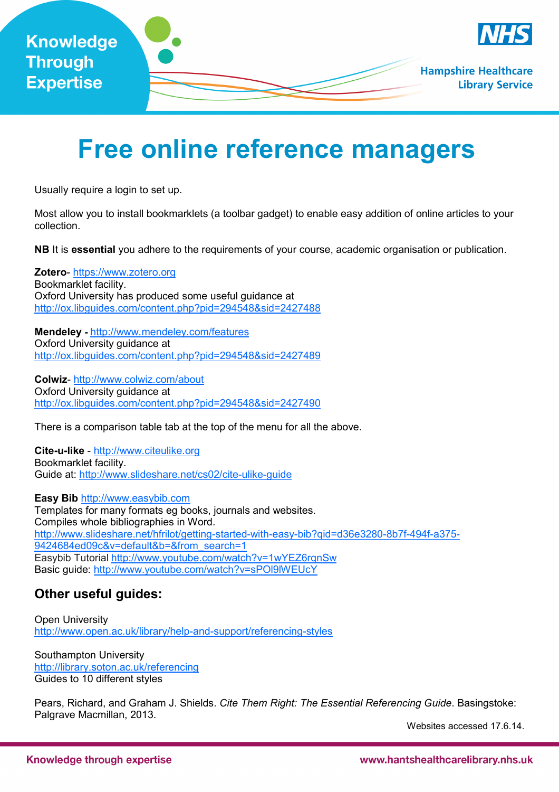

# **Free online reference managers**

Usually require a login to set up.

Most allow you to install bookmarklets (a toolbar gadget) to enable easy addition of online articles to your collection.

**NB** It is **essential** you adhere to the requirements of your course, academic organisation or publication.

**Zotero**- https://www.zotero.org Bookmarklet facility. Oxford University has produced some useful guidance at http://ox.libguides.com/content.php?pid=294548&sid=2427488

**Mendeley -** http://www.mendeley.com/features Oxford University guidance at http://ox.libguides.com/content.php?pid=294548&sid=2427489

**Colwiz**- http://www.colwiz.com/about Oxford University guidance at http://ox.libguides.com/content.php?pid=294548&sid=2427490

There is a comparison table tab at the top of the menu for all the above.

**Cite-u-like** - http://www.citeulike.org Bookmarklet facility. Guide at: http://www.slideshare.net/cs02/cite-ulike-guide

**Easy Bib** http://www.easybib.com Templates for many formats eg books, journals and websites. Compiles whole bibliographies in Word. http://www.slideshare.net/hfrilot/getting-started-with-easy-bib?qid=d36e3280-8b7f-494f-a375- 9424684ed09c&v=default&b=&from\_search=1 Easybib Tutorial http://www.youtube.com/watch?v=1wYEZ6rqnSw Basic guide: http://www.youtube.com/watch?v=sPOl9lWEUcY

#### **Other useful guides:**

Open University http://www.open.ac.uk/library/help-and-support/referencing-styles

Southampton University http://library.soton.ac.uk/referencing Guides to 10 different styles

Pears, Richard, and Graham J. Shields. *Cite Them Right: The Essential Referencing Guide*. Basingstoke: Palgrave Macmillan, 2013.

Websites accessed 17.6.14.